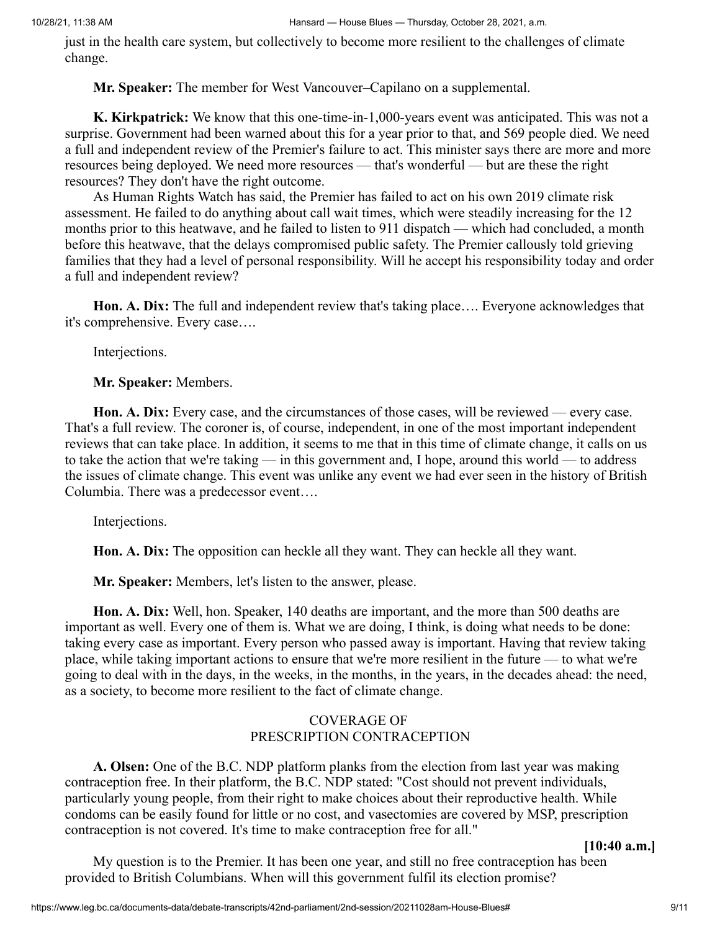just in the health care system, but collectively to become more resilient to the challenges of climate change.

**Mr. Speaker:** The member for West Vancouver–Capilano on a supplemental.

**K. Kirkpatrick:** We know that this one-time-in-1,000-years event was anticipated. This was not a surprise. Government had been warned about this for a year prior to that, and 569 people died. We need a full and independent review of the Premier's failure to act. This minister says there are more and more resources being deployed. We need more resources — that's wonderful — but are these the right resources? They don't have the right outcome.

As Human Rights Watch has said, the Premier has failed to act on his own 2019 climate risk assessment. He failed to do anything about call wait times, which were steadily increasing for the 12 months prior to this heatwave, and he failed to listen to 911 dispatch — which had concluded, a month before this heatwave, that the delays compromised public safety. The Premier callously told grieving families that they had a level of personal responsibility. Will he accept his responsibility today and order a full and independent review?

**Hon. A. Dix:** The full and independent review that's taking place…. Everyone acknowledges that it's comprehensive. Every case….

Interjections.

**Mr. Speaker:** Members.

**Hon. A. Dix:** Every case, and the circumstances of those cases, will be reviewed — every case. That's a full review. The coroner is, of course, independent, in one of the most important independent reviews that can take place. In addition, it seems to me that in this time of climate change, it calls on us to take the action that we're taking — in this government and, I hope, around this world — to address the issues of climate change. This event was unlike any event we had ever seen in the history of British Columbia. There was a predecessor event….

Interjections.

**Hon. A. Dix:** The opposition can heckle all they want. They can heckle all they want.

**Mr. Speaker:** Members, let's listen to the answer, please.

**Hon. A. Dix:** Well, hon. Speaker, 140 deaths are important, and the more than 500 deaths are important as well. Every one of them is. What we are doing, I think, is doing what needs to be done: taking every case as important. Every person who passed away is important. Having that review taking place, while taking important actions to ensure that we're more resilient in the future — to what we're going to deal with in the days, in the weeks, in the months, in the years, in the decades ahead: the need, as a society, to become more resilient to the fact of climate change.

## COVERAGE OF PRESCRIPTION CONTRACEPTION

**A. Olsen:** One of the B.C. NDP platform planks from the election from last year was making contraception free. In their platform, the B.C. NDP stated: "Cost should not prevent individuals, particularly young people, from their right to make choices about their reproductive health. While condoms can be easily found for little or no cost, and vasectomies are covered by MSP, prescription contraception is not covered. It's time to make contraception free for all."

**[10:40 a.m.]**

My question is to the Premier. It has been one year, and still no free contraception has been provided to British Columbians. When will this government fulfil its election promise?